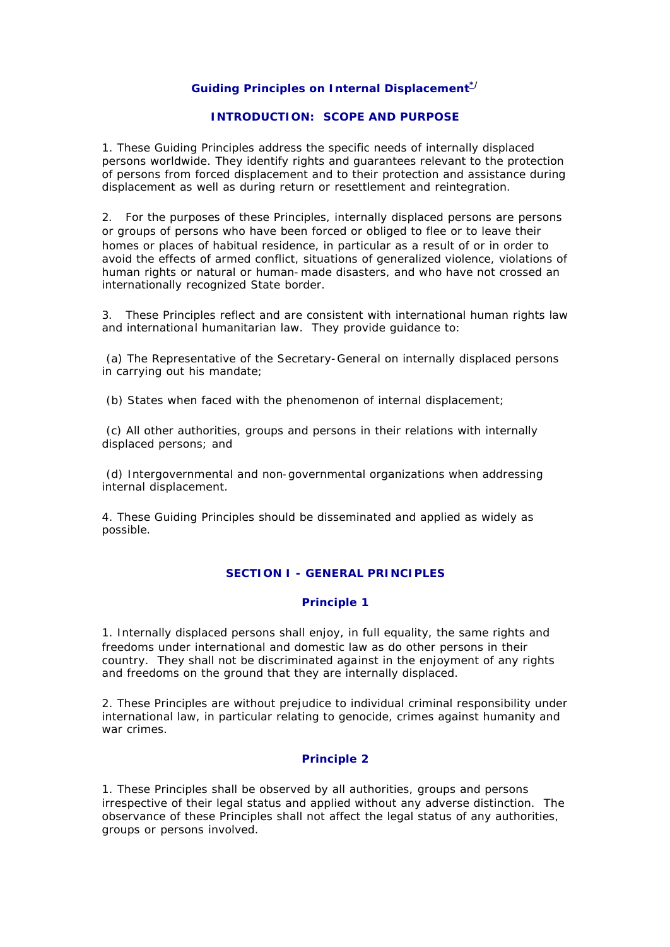# **Guiding Principles on Internal Displacement\*/**

## **INTRODUCTION: SCOPE AND PURPOSE**

1. These Guiding Principles address the specific needs of internally displaced persons worldwide. They identify rights and guarantees relevant to the protection of persons from forced displacement and to their protection and assistance during displacement as well as during return or resettlement and reintegration.

2. For the purposes of these Principles, internally displaced persons are persons or groups of persons who have been forced or obliged to flee or to leave their homes or places of habitual residence, in particular as a result of or in order to avoid the effects of armed conflict, situations of generalized violence, violations of human rights or natural or human-made disasters, and who have not crossed an internationally recognized State border.

3. These Principles reflect and are consistent with international human rights law and international humanitarian law. They provide guidance to:

(a) The Representative of the Secretary-General on internally displaced persons in carrying out his mandate;

(b) States when faced with the phenomenon of internal displacement;

(c) All other authorities, groups and persons in their relations with internally displaced persons; and

(d) Intergovernmental and non-governmental organizations when addressing internal displacement.

4. These Guiding Principles should be disseminated and applied as widely as possible.

# **SECTION I - GENERAL PRINCIPLES**

### **Principle 1**

1. Internally displaced persons shall enjoy, in full equality, the same rights and freedoms under international and domestic law as do other persons in their country. They shall not be discriminated against in the enjoyment of any rights and freedoms on the ground that they are internally displaced.

2. These Principles are without prejudice to individual criminal responsibility under international law, in particular relating to genocide, crimes against humanity and war crimes.

# **Principle 2**

1. These Principles shall be observed by all authorities, groups and persons irrespective of their legal status and applied without any adverse distinction. The observance of these Principles shall not affect the legal status of any authorities, groups or persons involved.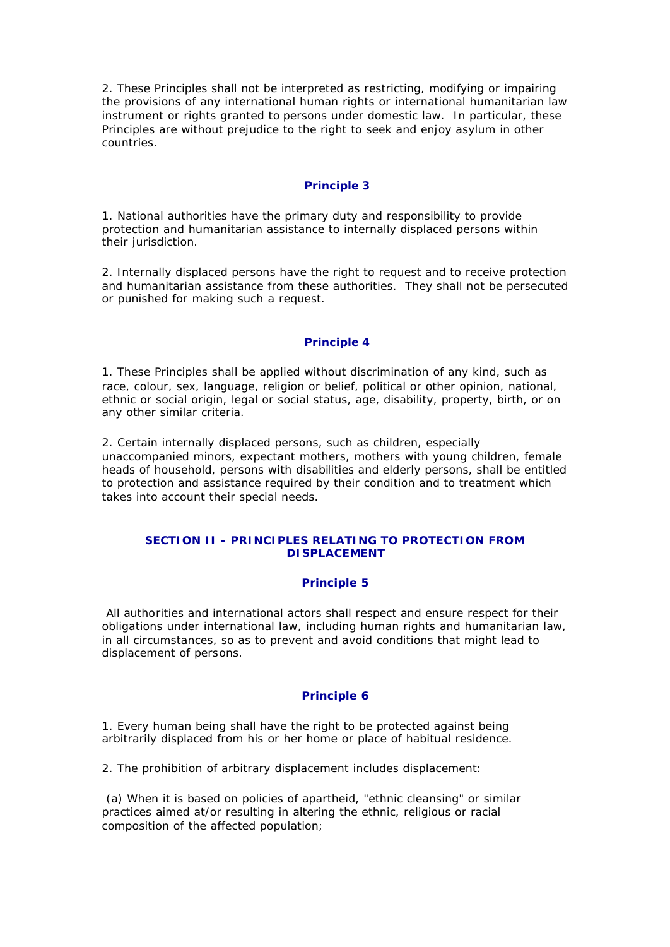2. These Principles shall not be interpreted as restricting, modifying or impairing the provisions of any international human rights or international humanitarian law instrument or rights granted to persons under domestic law. In particular, these Principles are without prejudice to the right to seek and enjoy asylum in other countries.

### **Principle 3**

1. National authorities have the primary duty and responsibility to provide protection and humanitarian assistance to internally displaced persons within their jurisdiction.

2. Internally displaced persons have the right to request and to receive protection and humanitarian assistance from these authorities. They shall not be persecuted or punished for making such a request.

## **Principle 4**

1. These Principles shall be applied without discrimination of any kind, such as race, colour, sex, language, religion or belief, political or other opinion, national, ethnic or social origin, legal or social status, age, disability, property, birth, or on any other similar criteria.

2. Certain internally displaced persons, such as children, especially unaccompanied minors, expectant mothers, mothers with young children, female heads of household, persons with disabilities and elderly persons, shall be entitled to protection and assistance required by their condition and to treatment which takes into account their special needs.

### **SECTION II - PRINCIPLES RELATING TO PROTECTION FROM DISPLACEMENT**

### **Principle 5**

All authorities and international actors shall respect and ensure respect for their obligations under international law, including human rights and humanitarian law, in all circumstances, so as to prevent and avoid conditions that might lead to displacement of persons.

## **Principle 6**

1. Every human being shall have the right to be protected against being arbitrarily displaced from his or her home or place of habitual residence.

2. The prohibition of arbitrary displacement includes displacement:

(a) When it is based on policies of apartheid, "ethnic cleansing" or similar practices aimed at/or resulting in altering the ethnic, religious or racial composition of the affected population;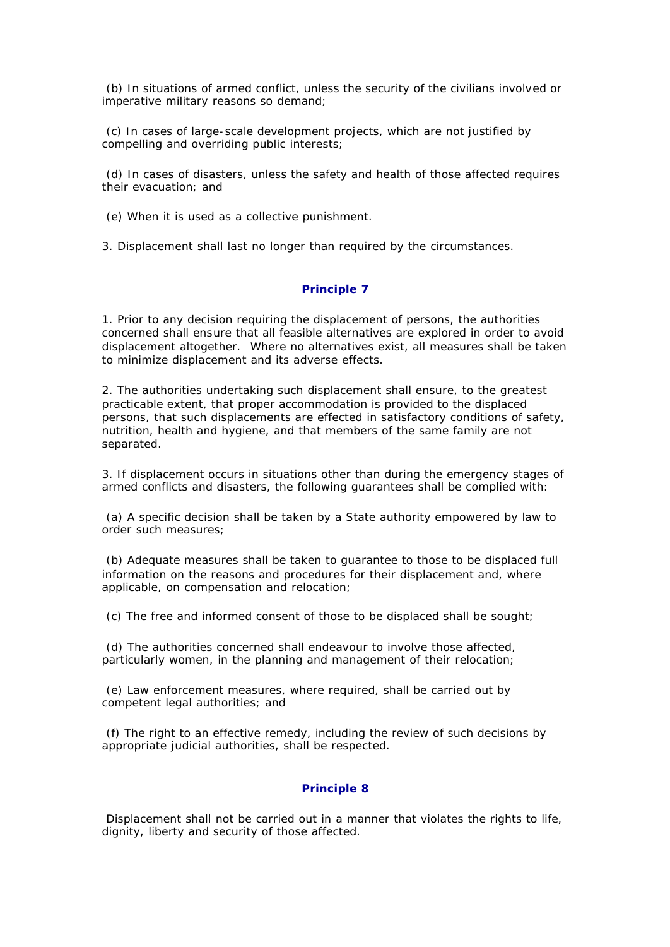(b) In situations of armed conflict, unless the security of the civilians involved or imperative military reasons so demand;

(c) In cases of large-scale development projects, which are not justified by compelling and overriding public interests;

(d) In cases of disasters, unless the safety and health of those affected requires their evacuation; and

(e) When it is used as a collective punishment.

3. Displacement shall last no longer than required by the circumstances.

# **Principle 7**

1. Prior to any decision requiring the displacement of persons, the authorities concerned shall ensure that all feasible alternatives are explored in order to avoid displacement altogether. Where no alternatives exist, all measures shall be taken to minimize displacement and its adverse effects.

2. The authorities undertaking such displacement shall ensure, to the greatest practicable extent, that proper accommodation is provided to the displaced persons, that such displacements are effected in satisfactory conditions of safety, nutrition, health and hygiene, and that members of the same family are not separated.

3. If displacement occurs in situations other than during the emergency stages of armed conflicts and disasters, the following guarantees shall be complied with:

(a) A specific decision shall be taken by a State authority empowered by law to order such measures;

(b) Adequate measures shall be taken to guarantee to those to be displaced full information on the reasons and procedures for their displacement and, where applicable, on compensation and relocation;

(c) The free and informed consent of those to be displaced shall be sought;

(d) The authorities concerned shall endeavour to involve those affected, particularly women, in the planning and management of their relocation;

(e) Law enforcement measures, where required, shall be carried out by competent legal authorities; and

(f) The right to an effective remedy, including the review of such decisions by appropriate judicial authorities, shall be respected.

#### **Principle 8**

Displacement shall not be carried out in a manner that violates the rights to life, dignity, liberty and security of those affected.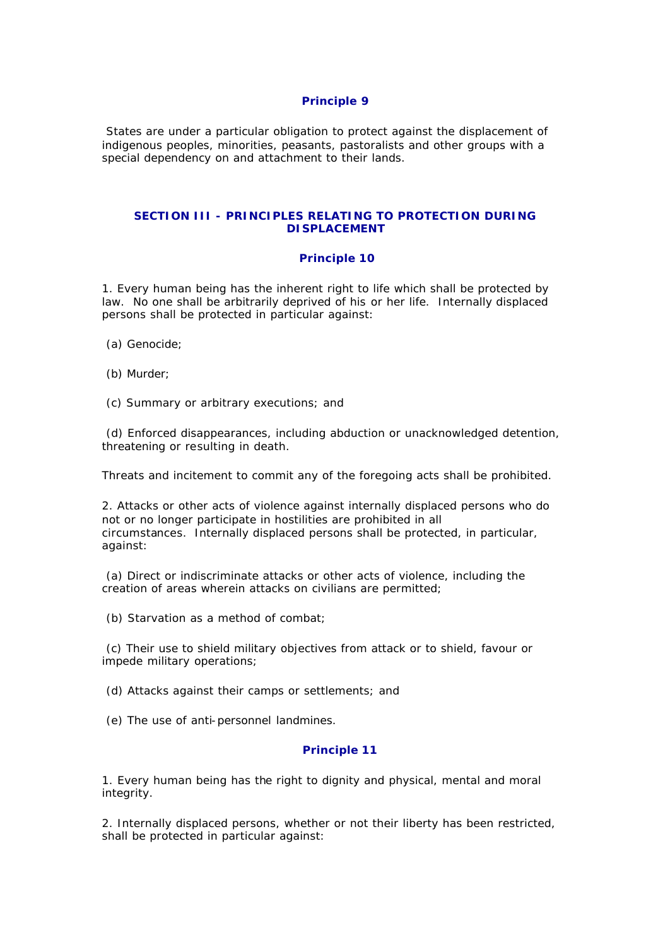### **Principle 9**

States are under a particular obligation to protect against the displacement of indigenous peoples, minorities, peasants, pastoralists and other groups with a special dependency on and attachment to their lands.

### **SECTION III - PRINCIPLES RELATING TO PROTECTION DURING DISPLACEMENT**

## **Principle 10**

1. Every human being has the inherent right to life which shall be protected by law. No one shall be arbitrarily deprived of his or her life. Internally displaced persons shall be protected in particular against:

- (a) Genocide;
- (b) Murder;
- (c) Summary or arbitrary executions; and

(d) Enforced disappearances, including abduction or unacknowledged detention, threatening or resulting in death.

Threats and incitement to commit any of the foregoing acts shall be prohibited.

2. Attacks or other acts of violence against internally displaced persons who do not or no longer participate in hostilities are prohibited in all circumstances. Internally displaced persons shall be protected, in particular, against:

(a) Direct or indiscriminate attacks or other acts of violence, including the creation of areas wherein attacks on civilians are permitted;

(b) Starvation as a method of combat;

(c) Their use to shield military objectives from attack or to shield, favour or impede military operations;

(d) Attacks against their camps or settlements; and

(e) The use of anti-personnel landmines.

### **Principle 11**

1. Every human being has the right to dignity and physical, mental and moral integrity.

2. Internally displaced persons, whether or not their liberty has been restricted, shall be protected in particular against: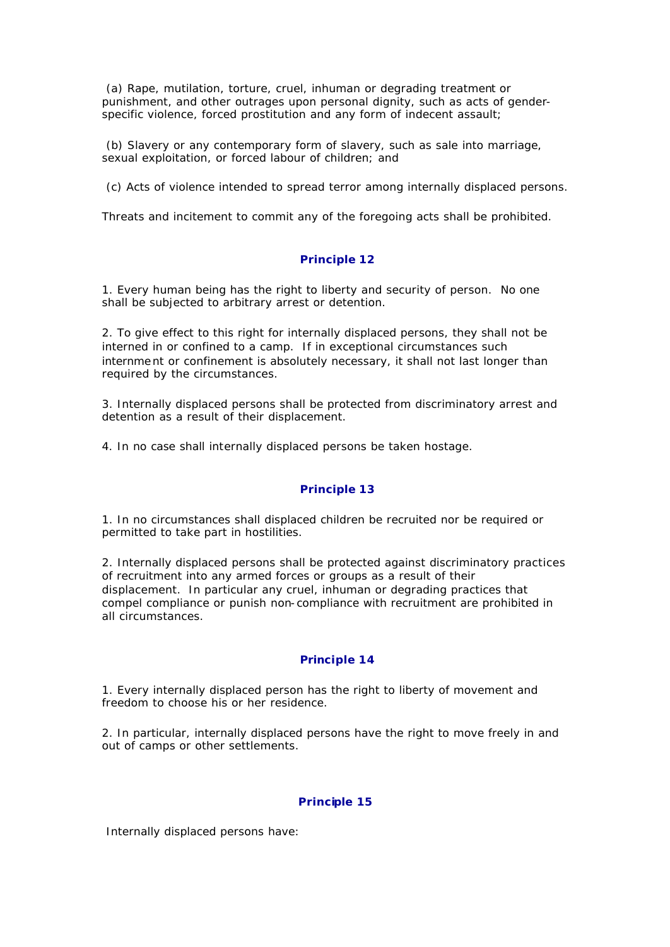(a) Rape, mutilation, torture, cruel, inhuman or degrading treatment or punishment, and other outrages upon personal dignity, such as acts of genderspecific violence, forced prostitution and any form of indecent assault;

(b) Slavery or any contemporary form of slavery, such as sale into marriage, sexual exploitation, or forced labour of children; and

(c) Acts of violence intended to spread terror among internally displaced persons.

Threats and incitement to commit any of the foregoing acts shall be prohibited.

# **Principle 12**

1. Every human being has the right to liberty and security of person. No one shall be subjected to arbitrary arrest or detention.

2. To give effect to this right for internally displaced persons, they shall not be interned in or confined to a camp. If in exceptional circumstances such internment or confinement is absolutely necessary, it shall not last longer than required by the circumstances.

3. Internally displaced persons shall be protected from discriminatory arrest and detention as a result of their displacement.

4. In no case shall internally displaced persons be taken hostage.

## **Principle 13**

1. In no circumstances shall displaced children be recruited nor be required or permitted to take part in hostilities.

2. Internally displaced persons shall be protected against discriminatory practices of recruitment into any armed forces or groups as a result of their displacement. In particular any cruel, inhuman or degrading practices that compel compliance or punish non-compliance with recruitment are prohibited in all circumstances.

### **Principle 14**

1. Every internally displaced person has the right to liberty of movement and freedom to choose his or her residence.

2. In particular, internally displaced persons have the right to move freely in and out of camps or other settlements.

## **Principle 15**

Internally displaced persons have: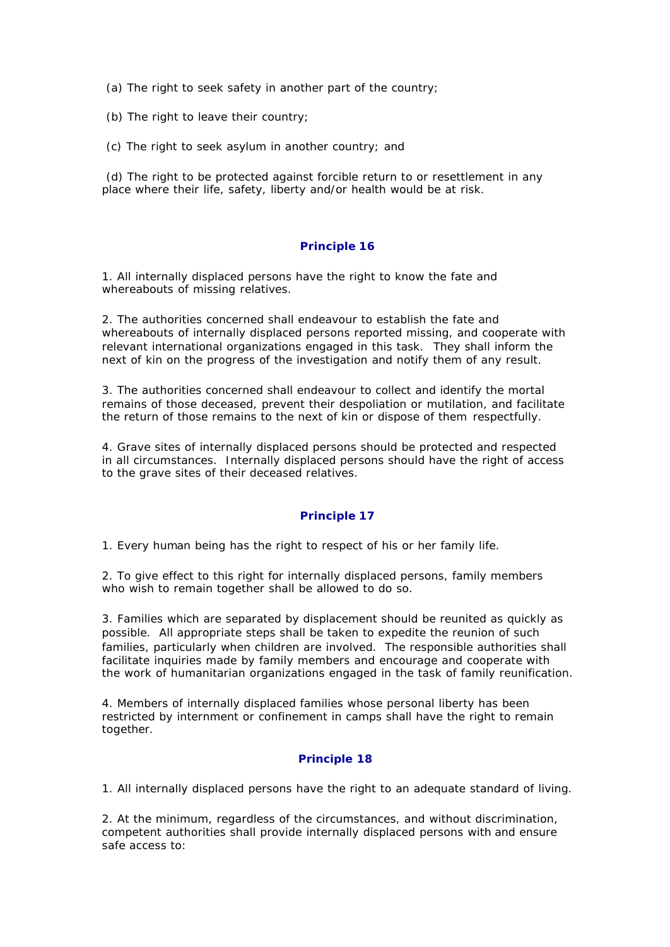(a) The right to seek safety in another part of the country;

(b) The right to leave their country;

(c) The right to seek asylum in another country; and

(d) The right to be protected against forcible return to or resettlement in any place where their life, safety, liberty and/or health would be at risk.

## **Principle 16**

1. All internally displaced persons have the right to know the fate and whereabouts of missing relatives.

2. The authorities concerned shall endeavour to establish the fate and whereabouts of internally displaced persons reported missing, and cooperate with relevant international organizations engaged in this task. They shall inform the next of kin on the progress of the investigation and notify them of any result.

3. The authorities concerned shall endeavour to collect and identify the mortal remains of those deceased, prevent their despoliation or mutilation, and facilitate the return of those remains to the next of kin or dispose of them respectfully.

4. Grave sites of internally displaced persons should be protected and respected in all circumstances. Internally displaced persons should have the right of access to the grave sites of their deceased relatives.

## **Principle 17**

1. Every human being has the right to respect of his or her family life.

2. To give effect to this right for internally displaced persons, family members who wish to remain together shall be allowed to do so.

3. Families which are separated by displacement should be reunited as quickly as possible. All appropriate steps shall be taken to expedite the reunion of such families, particularly when children are involved. The responsible authorities shall facilitate inquiries made by family members and encourage and cooperate with the work of humanitarian organizations engaged in the task of family reunification.

4. Members of internally displaced families whose personal liberty has been restricted by internment or confinement in camps shall have the right to remain together.

## **Principle 18**

1. All internally displaced persons have the right to an adequate standard of living.

2. At the minimum, regardless of the circumstances, and without discrimination, competent authorities shall provide internally displaced persons with and ensure safe access to: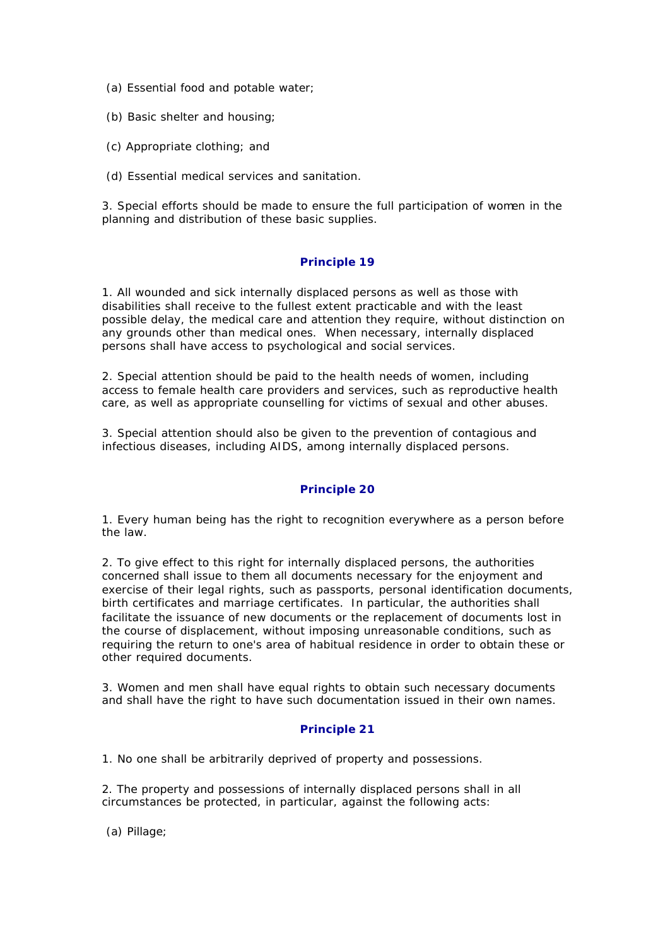- (a) Essential food and potable water;
- (b) Basic shelter and housing;
- (c) Appropriate clothing; and
- (d) Essential medical services and sanitation.

3. Special efforts should be made to ensure the full participation of women in the planning and distribution of these basic supplies.

## **Principle 19**

1. All wounded and sick internally displaced persons as well as those with disabilities shall receive to the fullest extent practicable and with the least possible delay, the medical care and attention they require, without distinction on any grounds other than medical ones. When necessary, internally displaced persons shall have access to psychological and social services.

2. Special attention should be paid to the health needs of women, including access to female health care providers and services, such as reproductive health care, as well as appropriate counselling for victims of sexual and other abuses.

3. Special attention should also be given to the prevention of contagious and infectious diseases, including AIDS, among internally displaced persons.

## **Principle 20**

1. Every human being has the right to recognition everywhere as a person before the law.

2. To give effect to this right for internally displaced persons, the authorities concerned shall issue to them all documents necessary for the enjoyment and exercise of their legal rights, such as passports, personal identification documents, birth certificates and marriage certificates. In particular, the authorities shall facilitate the issuance of new documents or the replacement of documents lost in the course of displacement, without imposing unreasonable conditions, such as requiring the return to one's area of habitual residence in order to obtain these or other required documents.

3. Women and men shall have equal rights to obtain such necessary documents and shall have the right to have such documentation issued in their own names.

### **Principle 21**

1. No one shall be arbitrarily deprived of property and possessions.

2. The property and possessions of internally displaced persons shall in all circumstances be protected, in particular, against the following acts:

(a) Pillage;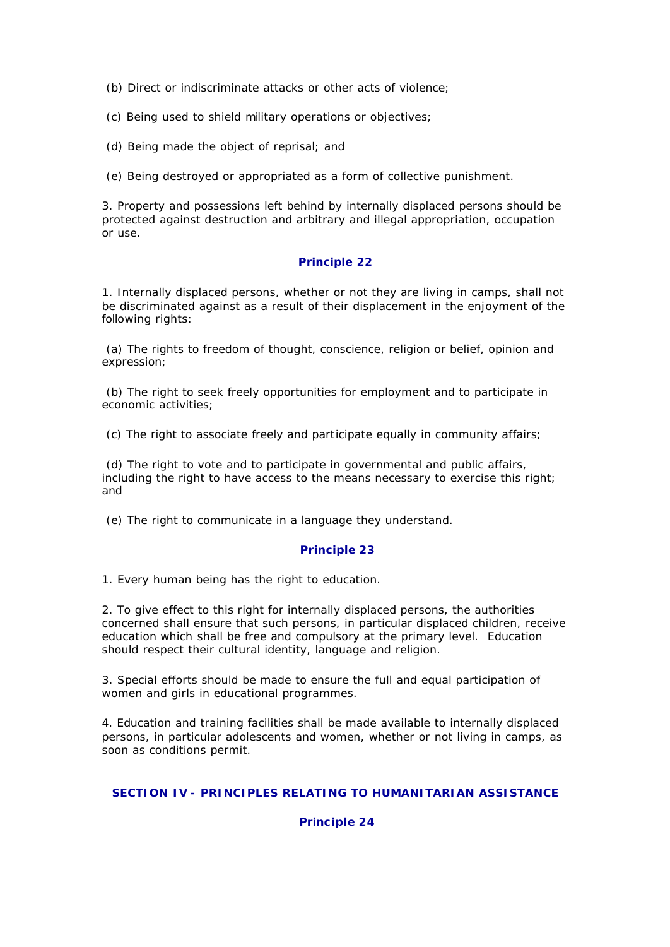(b) Direct or indiscriminate attacks or other acts of violence;

- (c) Being used to shield military operations or objectives;
- (d) Being made the object of reprisal; and

(e) Being destroyed or appropriated as a form of collective punishment.

3. Property and possessions left behind by internally displaced persons should be protected against destruction and arbitrary and illegal appropriation, occupation or use.

## **Principle 22**

1. Internally displaced persons, whether or not they are living in camps, shall not be discriminated against as a result of their displacement in the enjoyment of the following rights:

(a) The rights to freedom of thought, conscience, religion or belief, opinion and expression;

(b) The right to seek freely opportunities for employment and to participate in economic activities;

(c) The right to associate freely and participate equally in community affairs;

(d) The right to vote and to participate in governmental and public affairs, including the right to have access to the means necessary to exercise this right; and

(e) The right to communicate in a language they understand.

### **Principle 23**

1. Every human being has the right to education.

2. To give effect to this right for internally displaced persons, the authorities concerned shall ensure that such persons, in particular displaced children, receive education which shall be free and compulsory at the primary level. Education should respect their cultural identity, language and religion.

3. Special efforts should be made to ensure the full and equal participation of women and girls in educational programmes.

4. Education and training facilities shall be made available to internally displaced persons, in particular adolescents and women, whether or not living in camps, as soon as conditions permit.

# **SECTION IV - PRINCIPLES RELATING TO HUMANITARIAN ASSISTANCE**

### **Principle 24**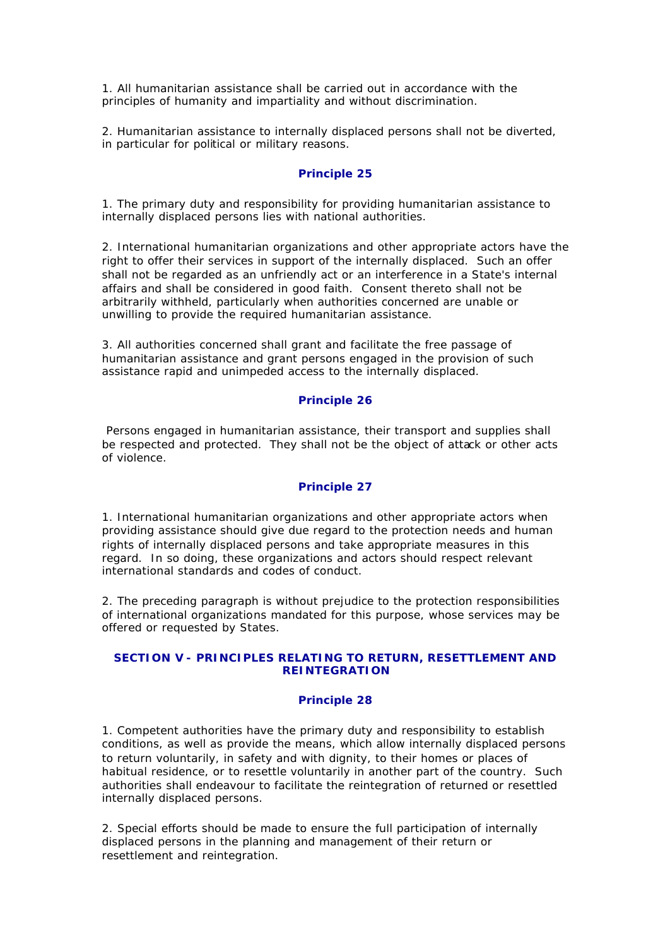1. All humanitarian assistance shall be carried out in accordance with the principles of humanity and impartiality and without discrimination.

2. Humanitarian assistance to internally displaced persons shall not be diverted, in particular for political or military reasons.

#### **Principle 25**

1. The primary duty and responsibility for providing humanitarian assistance to internally displaced persons lies with national authorities.

2. International humanitarian organizations and other appropriate actors have the right to offer their services in support of the internally displaced. Such an offer shall not be regarded as an unfriendly act or an interference in a State's internal affairs and shall be considered in good faith. Consent thereto shall not be arbitrarily withheld, particularly when authorities concerned are unable or unwilling to provide the required humanitarian assistance.

3. All authorities concerned shall grant and facilitate the free passage of humanitarian assistance and grant persons engaged in the provision of such assistance rapid and unimpeded access to the internally displaced.

#### **Principle 26**

Persons engaged in humanitarian assistance, their transport and supplies shall be respected and protected. They shall not be the object of attack or other acts of violence.

## **Principle 27**

1. International humanitarian organizations and other appropriate actors when providing assistance should give due regard to the protection needs and human rights of internally displaced persons and take appropriate measures in this regard. In so doing, these organizations and actors should respect relevant international standards and codes of conduct.

2. The preceding paragraph is without prejudice to the protection responsibilities of international organizations mandated for this purpose, whose services may be offered or requested by States.

### **SECTION V - PRINCIPLES RELATING TO RETURN, RESETTLEMENT AND REINTEGRATION**

#### **Principle 28**

1. Competent authorities have the primary duty and responsibility to establish conditions, as well as provide the means, which allow internally displaced persons to return voluntarily, in safety and with dignity, to their homes or places of habitual residence, or to resettle voluntarily in another part of the country. Such authorities shall endeavour to facilitate the reintegration of returned or resettled internally displaced persons.

2. Special efforts should be made to ensure the full participation of internally displaced persons in the planning and management of their return or resettlement and reintegration.